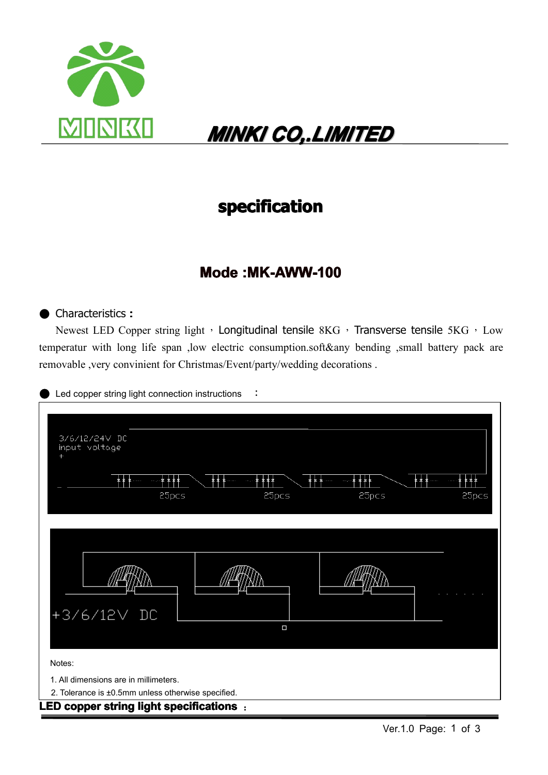

## *MINKI MINKI CO,.LIMITED CO,.LIMITED CO,.LIMITEDCO,.LIMITED CO,.LIMITED CO,.LIMITEDCO,.LIMITEDCO,.LIMITED*

### **specification specification**

### **Mode :MK-AWW-100**

#### ● Characteristics **:**

Newest LED Copper string light, Longitudinal tensile 8KG, Transverse tensile 5KG, Low temperatur with long life span ,low electric consumption.soft&any bending ,small battery pack are removable ,very convinient for Christmas/Event/party/wedding decorations .

Led copper string light connection instructions  $\cdot$ :

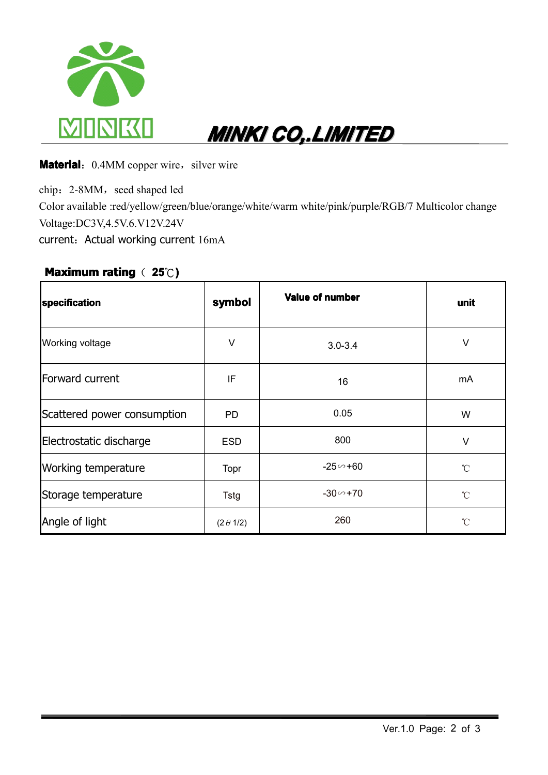

## *MINKI MINKI CO,.LIMITED CO,.LIMITED CO,.LIMITEDCO,.LIMITED CO,.LIMITED CO,.LIMITEDCO,.LIMITEDCO,.LIMITED*

**Material:** 0.4MM copper wire, silver wire

chip: 2-8MM, seed shaped led Color available :red/yellow/green/blue/orange/white/warm white/pink/purple/RGB/7 Multicolor change Voltage:DC3V,4.5V.6.V12V.24V current: Actual working current 16mA

#### **Maximum Maximumrating**( **25**℃**)**

| specification               | symbol           | <b>Value of number</b> | unit        |
|-----------------------------|------------------|------------------------|-------------|
| Working voltage             | $\vee$           | $3.0 - 3.4$            | ٧           |
| Forward current             | IF               | 16                     | mA          |
| Scattered power consumption | <b>PD</b>        | 0.05                   | W           |
| Electrostatic discharge     | ESD.             | 800                    | V           |
| Working temperature         | Topr             | $-25 - 60$             | °C          |
| Storage temperature         | Tstg             | $-30 - 70$             | $^{\circ}C$ |
| Angle of light              | $(2 \theta 1/2)$ | 260                    | °C          |